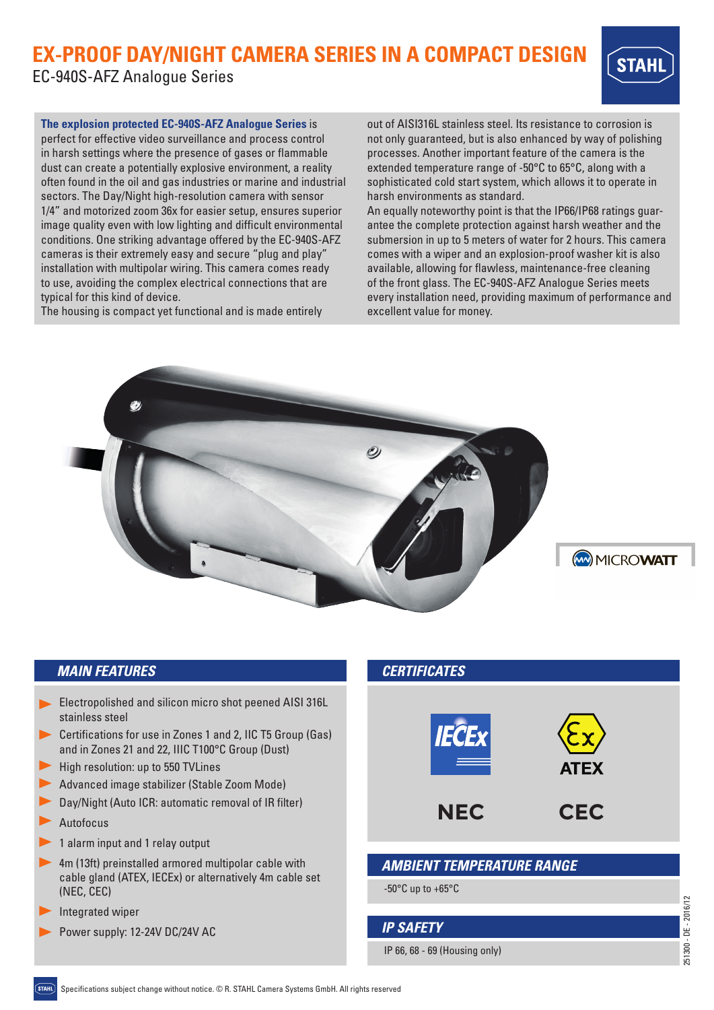# **EX-PROOF DAY/NIGHT CAMERA SERIES IN A COMPACT DESIGN**

EC-940S-AFZ Analogue Series



**The explosion protected EC-940S-AFZ Analogue Series** is perfect for effective video surveillance and process control in harsh settings where the presence of gases or flammable dust can create a potentially explosive environment, a reality often found in the oil and gas industries or marine and industrial sectors. The Day/Night high-resolution camera with sensor 1/4" and motorized zoom 36x for easier setup, ensures superior image quality even with low lighting and difficult environmental conditions. One striking advantage offered by the EC-940S-AFZ cameras is their extremely easy and secure "plug and play" installation with multipolar wiring. This camera comes ready to use, avoiding the complex electrical connections that are typical for this kind of device.

The housing is compact yet functional and is made entirely

out of AISI316L stainless steel. Its resistance to corrosion is not only guaranteed, but is also enhanced by way of polishing processes. Another important feature of the camera is the extended temperature range of -50°C to 65°C, along with a sophisticated cold start system, which allows it to operate in harsh environments as standard.

An equally noteworthy point is that the IP66/IP68 ratings guarantee the complete protection against harsh weather and the submersion in up to 5 meters of water for 2 hours. This camera comes with a wiper and an explosion-proof washer kit is also available, allowing for flawless, maintenance-free cleaning of the front glass. The EC-940S-AFZ Analogue Series meets every installation need, providing maximum of performance and excellent value for money.



## *MAIN FEATURES*

- Electropolished and silicon micro shot peened AISI 316L stainless steel
- Certifications for use in Zones 1 and 2, IIC T5 Group (Gas) and in Zones 21 and 22, IIIC T100°C Group (Dust)
- High resolution: up to 550 TVLines
- Advanced image stabilizer (Stable Zoom Mode)
- Day/Night (Auto ICR: automatic removal of IR filter)
- Autofocus
- 1 alarm input and 1 relay output
- 4m (13ft) preinstalled armored multipolar cable with cable gland (ATEX, IECEx) or alternatively 4m cable set (NEC, CEC)
- Integrated wiper
- Power supply: 12-24V DC/24V AC



IP 66, 68 - 69 (Housing only) *IP SAFETY*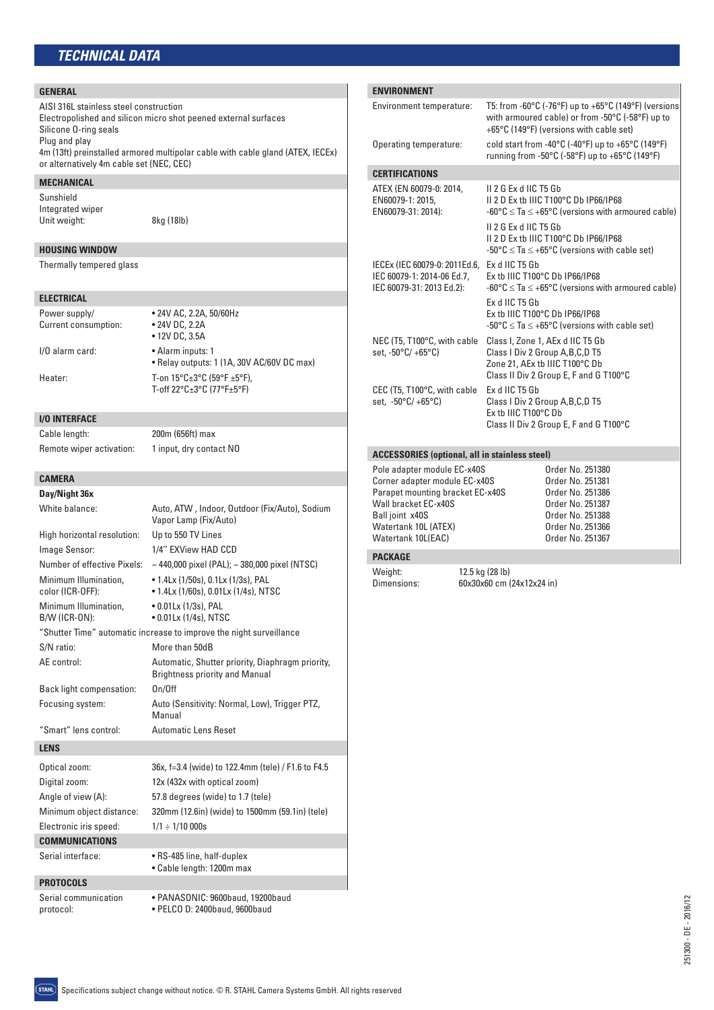#### **GENERAL**

*TECHNICAL DATA* AISI 316L stainless steel construction Electropolished and silicon micro shot peened external surfaces Silicone O-ring seals Plug and play 4m (13ft) preinstalled armored multipolar cable with cable gland (ATEX, IECEx) or alternatively 4m cable set (NEC, CEC) **MECHANICAL** Sunshield Integrated wiper Unit weight: 8kg (18lb) **HOUSING WINDOW** Thermally tempered glass **ELECTRICAL** Power supply/ • 24V AC, 2.2A, 50/60Hz Current consumption: • 24V DC, 2.2A • 12V DC, 3.5A I/O alarm card: • Alarm inputs: 1 • Relay outputs: 1 (1A, 30V AC/60V DC max) Heater: T-on 15°C±3°C (59°F ±5°F), T-off 22°C±3°C (77°F±5°F) **I/O INTERFACE** Cable length: 200m (656ft) max Remote wiper activation: 1 input, dry contact NO **CAMERA Day/Night 36x** White balance: Auto, ATW, Indoor, Outdoor (Fix/Auto), Sodium Vapor Lamp (Fix/Auto) High horizontal resolution: Up to 550 TV Lines Image Sensor: 1/4'' EXView HAD CCD Number of effective Pixels: ~ 440,000 pixel (PAL); ~ 380,000 pixel (NTSC) Minimum Illumination, • 1.4Lx (1/50s), 0.1Lx (1/3s), PAL color (ICR-OFF): • 1.4Lx (1/60s), 0.01Lx (1/4s), NTSC Minimum Illumination, • 0.01Lx (1/3s), PAL B/W (ICR-ON): • 0.01Lx (1/4s), NTSC "Shutter Time" automatic increase to improve the night surveillance

S/N ratio: More than 50dB

"Smart" lens control: Automatic Lens Reset

Electronic iris speed:  $1/1 \div 1/10000s$ 

**COMMUNICATIONS**

**PROTOCOLS**

Digital zoom: 12x (432x with optical zoom) Angle of view (A): 57.8 degrees (wide) to 1.7 (tele)

Serial interface: • RS-485 line, half-duplex

Serial communication • PANASONIC: 9600baud, 19200baud protocol: • PELCO D: 2400baud, 9600baud

Back light compensation: On/Off

AE control: Automatic, Shutter priority, Diaphragm priority,

Focusing system: Auto (Sensitivity: Normal, Low), Trigger PTZ, Manual

Optical zoom: 36x, f=3.4 (wide) to 122.4mm (tele) / F1.6 to F4.5

Minimum object distance: 320mm (12.6in) (wide) to 1500mm (59.1in) (tele)

• Cable length: 1200m max

Brightness priority and Manual

**ENVIRONMENT** Environment temperature: T5: from -60°C (-76°F) up to +65°C (149°F) (versions with armoured cable) or from -50°C (-58°F) up to +65°C (149°F) (versions with cable set) Operating temperature: cold start from -40°C (-40°F) up to +65°C (149°F) running from -50°C (-58°F) up to +65°C (149°F) **CERTIFICATIONS** ATEX (EN 60079-0: 2014, II 2 G Ex d IIC T5 Gb EN60079-1: 2015, II 2 D Ex tb IIIC T100°C Db IP66/IP68 EN60079-31: 2014):  $-60^{\circ}$ C  $\leq$  Ta  $\leq$  +65°C (versions with armoured cable) II 2 G Ex d IIC T5 Gb II 2 D Ex tb IIIC T100°C Db IP66/IP68  $-50^{\circ}$ C  $\leq$  Ta  $\leq$  +65°C (versions with cable set) IECEx (IEC 60079-0: 2011Ed.6, Ex d IIC T5 Gb IEC 60079-1: 2014-06 Ed.7, Ex tb IIIC T100°C Db IP66/IP68 IEC 60079-31: 2013 Ed.2):  $-60^{\circ}$ C  $\leq$  Ta  $\leq$  +65°C (versions with armoured cable) Ex d IIC T5 Gb Ex tb IIIC T100°C Db IP66/IP68  $-50\degree$ C  $\leq$  Ta  $\leq$  +65 $\degree$ C (versions with cable set) NEC (T5, T100°C, with cable Class I, Zone 1, AEx d IIC T5 Gb set, -50°C/ +65°C) Class I Div 2 Group A,B,C,D T5 Zone 21, AEx tb IIIC T100°C Db Class II Div 2 Group E, F and G T100°C CEC (T5, T100°C, with cable Ex d IIC T5 Gb set, -50°C/ +65°C) Class I Div 2 Group A,B,C,D T5 Ex tb IIIC T100°C Db Class II Div 2 Group E, F and G T100°C **ACCESSORIES (optional, all in stainless steel)** Pole adapter module EC-x40S<br>
Corner adapter module EC-x40S<br>
Order No. 251381 Corner adapter module EC-x40S Corder No. 251381<br>Parapet mounting bracket EC-x40S Crder No. 251386 Parapet mounting bracket EC-x40S Wall bracket EC-x40S Order No. 251387 Ball joint x40S Order No. 251388 Watertank 10L (ATEX) 0rder No. 251366<br>
Watertank 10L (EAC) 0rder No. 251367 Watertank 10L(EAC)

### **PACKAGE**

Weight: 12.5 kg (28 lb)<br>Dimensions: 60x30x60 cm

Dimensions: 60x30x60 cm (24x12x24 in)

| ī. |
|----|
|    |
|    |
|    |

**LENS**